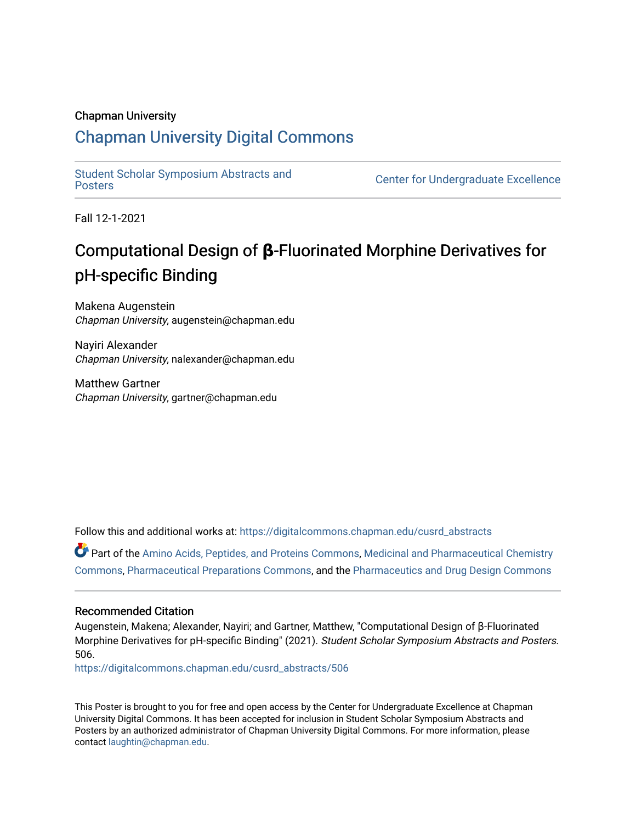### Chapman University

### [Chapman University Digital Commons](https://digitalcommons.chapman.edu/)

[Student Scholar Symposium Abstracts and](https://digitalcommons.chapman.edu/cusrd_abstracts) 

**Center for Undergraduate Excellence** 

Fall 12-1-2021

### Computational Design of **β**-Fluorinated Morphine Derivatives for pH-specific Binding

Makena Augenstein Chapman University, augenstein@chapman.edu

Nayiri Alexander Chapman University, nalexander@chapman.edu

Matthew Gartner Chapman University, gartner@chapman.edu

Follow this and additional works at: [https://digitalcommons.chapman.edu/cusrd\\_abstracts](https://digitalcommons.chapman.edu/cusrd_abstracts?utm_source=digitalcommons.chapman.edu%2Fcusrd_abstracts%2F506&utm_medium=PDF&utm_campaign=PDFCoverPages) 

Part of the [Amino Acids, Peptides, and Proteins Commons](http://network.bepress.com/hgg/discipline/954?utm_source=digitalcommons.chapman.edu%2Fcusrd_abstracts%2F506&utm_medium=PDF&utm_campaign=PDFCoverPages), [Medicinal and Pharmaceutical Chemistry](http://network.bepress.com/hgg/discipline/734?utm_source=digitalcommons.chapman.edu%2Fcusrd_abstracts%2F506&utm_medium=PDF&utm_campaign=PDFCoverPages) [Commons](http://network.bepress.com/hgg/discipline/734?utm_source=digitalcommons.chapman.edu%2Fcusrd_abstracts%2F506&utm_medium=PDF&utm_campaign=PDFCoverPages), [Pharmaceutical Preparations Commons,](http://network.bepress.com/hgg/discipline/936?utm_source=digitalcommons.chapman.edu%2Fcusrd_abstracts%2F506&utm_medium=PDF&utm_campaign=PDFCoverPages) and the [Pharmaceutics and Drug Design Commons](http://network.bepress.com/hgg/discipline/733?utm_source=digitalcommons.chapman.edu%2Fcusrd_abstracts%2F506&utm_medium=PDF&utm_campaign=PDFCoverPages)

### Recommended Citation

Augenstein, Makena; Alexander, Nayiri; and Gartner, Matthew, "Computational Design of β-Fluorinated Morphine Derivatives for pH-specific Binding" (2021). Student Scholar Symposium Abstracts and Posters. 506.

[https://digitalcommons.chapman.edu/cusrd\\_abstracts/506](https://digitalcommons.chapman.edu/cusrd_abstracts/506?utm_source=digitalcommons.chapman.edu%2Fcusrd_abstracts%2F506&utm_medium=PDF&utm_campaign=PDFCoverPages) 

This Poster is brought to you for free and open access by the Center for Undergraduate Excellence at Chapman University Digital Commons. It has been accepted for inclusion in Student Scholar Symposium Abstracts and Posters by an authorized administrator of Chapman University Digital Commons. For more information, please contact [laughtin@chapman.edu](mailto:laughtin@chapman.edu).